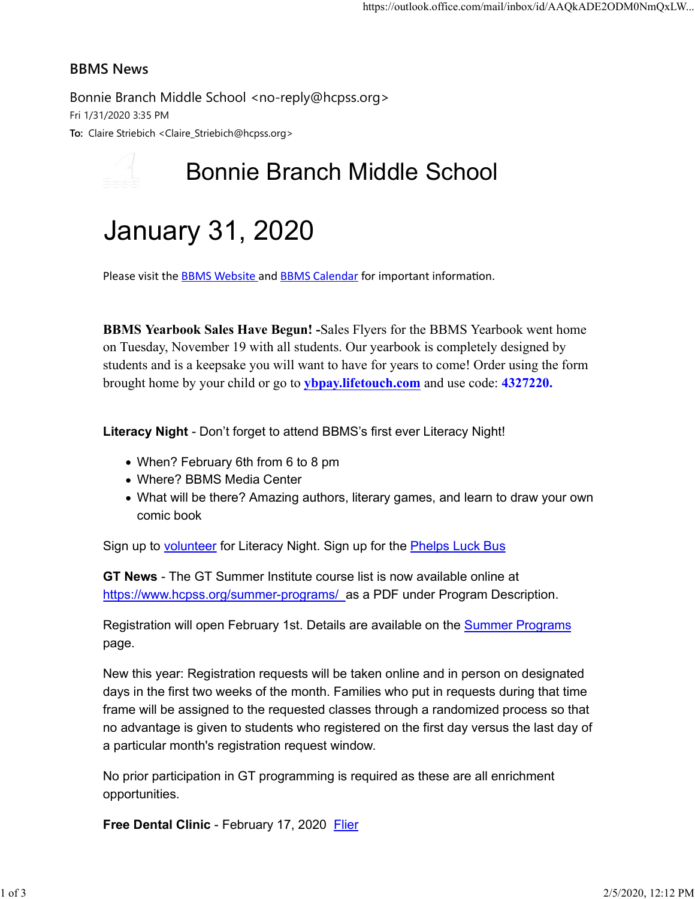#### BBMS News

Bonnie Branch Middle School <no-reply@hcpss.org> Fri 1/31/2020 3:35 PM To: Claire Striebich <Claire\_Striebich@hcpss.org>

## Bonnie Branch Middle School

# January 31, 2020

Please visit the **BBMS Website and BBMS Calendar** for important information.

BBMS Yearbook Sales Have Begun! -Sales Flyers for the BBMS Yearbook went home on Tuesday, November 19 with all students. Our yearbook is completely designed by students and is a keepsake you will want to have for years to come! Order using the form brought home by your child or go to ybpay.lifetouch.com and use code: 4327220.

Literacy Night - Don't forget to attend BBMS's first ever Literacy Night!

- When? February 6th from 6 to 8 pm
- Where? BBMS Media Center
- What will be there? Amazing authors, literary games, and learn to draw your own comic book

Sign up to **volunteer** for Literacy Night. Sign up for the **Phelps Luck Bus** 

GT News - The GT Summer Institute course list is now available online at https://www.hcpss.org/summer-programs/ as a PDF under Program Description.

Registration will open February 1st. Details are available on the Summer Programs page.

New this year: Registration requests will be taken online and in person on designated days in the first two weeks of the month. Families who put in requests during that time frame will be assigned to the requested classes through a randomized process so that no advantage is given to students who registered on the first day versus the last day of a particular month's registration request window.

No prior participation in GT programming is required as these are all enrichment opportunities.

Free Dental Clinic - February 17, 2020 Flier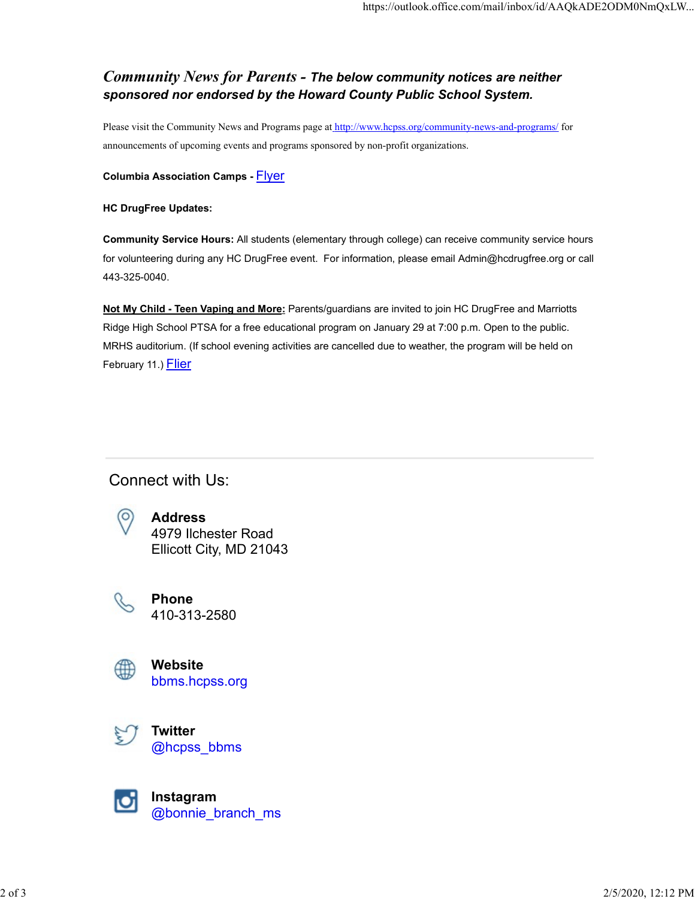### Community News for Parents - The below community notices are neither sponsored nor endorsed by the Howard County Public School System.

Please visit the Community News and Programs page at http://www.hcpss.org/community-news-and-programs/ for announcements of upcoming events and programs sponsored by non-profit organizations.

#### Columbia Association Camps - Flyer

#### HC DrugFree Updates:

Community Service Hours: All students (elementary through college) can receive community service hours for volunteering during any HC DrugFree event. For information, please email Admin@hcdrugfree.org or call 443-325-0040.

Not My Child - Teen Vaping and More: Parents/guardians are invited to join HC DrugFree and Marriotts Ridge High School PTSA for a free educational program on January 29 at 7:00 p.m. Open to the public. MRHS auditorium. (If school evening activities are cancelled due to weather, the program will be held on February 11.) Flier

## Connect with Us:



Address 4979 Ilchester Road Ellicott City, MD 21043



Phone 410-313-2580



Website bbms.hcpss.org

**Twitter** @hcpss\_bbms



Instagram @bonnie\_branch\_ms